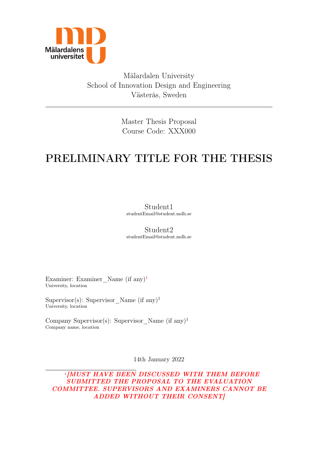

Mälardalen University School of Innovation Design and Engineering Västerås, Sweden

> Master Thesis Proposal Course Code: XXX000

# PRELIMINARY TITLE FOR THE THESIS

Student1 studentEmail@student.mdh.se

Student2 studentEmail@student.mdh.se

Examiner: Examiner Name (if any)<sup>[1](#page-0-0)</sup> University, location

Supervisor(s): Supervisor Name (if any)<sup>1</sup> University, location

Company Supervisor(s): Supervisor Name (if any)<sup>1</sup> Company name, location

14th January 2022

<span id="page-0-0"></span><sup>1</sup>[MUST HAVE BEEN DISCUSSED WITH THEM BEFORE SUBMITTED THE PROPOSAL TO THE EVALUATION COMMITTEE. SUPERVISORS AND EXAMINERS CANNOT BE ADDED WITHOUT THEIR CONSENT]